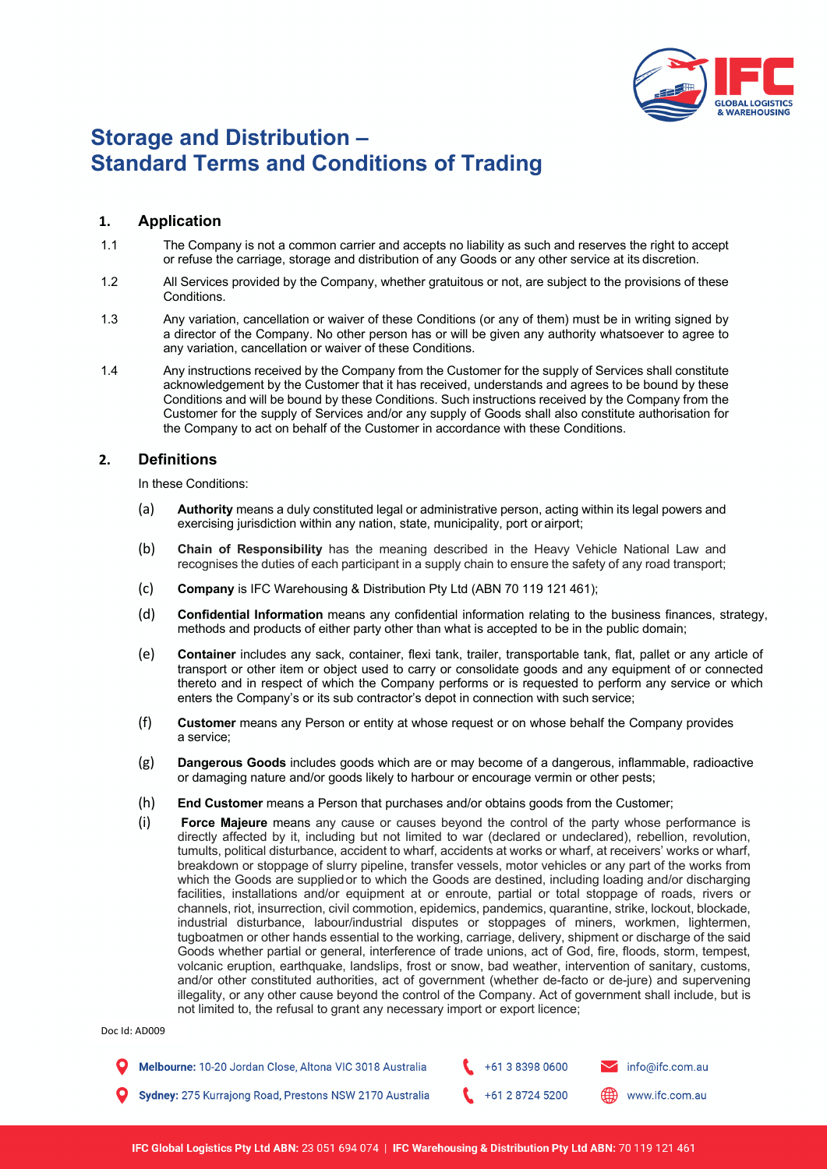

# **Storage and Distribution – Standard Terms and Conditions of Trading**

# **1. Application**

- 1.1 The Company is not a common carrier and accepts no liability as such and reserves the right to accept or refuse the carriage, storage and distribution of any Goods or any other service at its discretion.
- 1.2 All Services provided by the Company, whether gratuitous or not, are subject to the provisions of these Conditions.
- 1.3 Any variation, cancellation or waiver of these Conditions (or any of them) must be in writing signed by a director of the Company. No other person has or will be given any authority whatsoever to agree to any variation, cancellation or waiver of these Conditions.
- 1.4 Any instructions received by the Company from the Customer for the supply of Services shall constitute acknowledgement by the Customer that it has received, understands and agrees to be bound by these Conditions and will be bound by these Conditions. Such instructions received by the Company from the Customer for the supply of Services and/or any supply of Goods shall also constitute authorisation for the Company to act on behalf of the Customer in accordance with these Conditions.

# **2. Definitions**

In these Conditions:

- (a) **Authority** means a duly constituted legal or administrative person, acting within its legal powers and exercising jurisdiction within any nation, state, municipality, port or airport;
- (b) **Chain of Responsibility** has the meaning described in the Heavy Vehicle National Law and recognises the duties of each participant in a supply chain to ensure the safety of any road transport;
- (c) **Company** is IFC Warehousing & Distribution Pty Ltd (ABN 70 119 121 461);
- (d) **Confidential Information** means any confidential information relating to the business finances, strategy, methods and products of either party other than what is accepted to be in the public domain;
- (e) **Container** includes any sack, container, flexi tank, trailer, transportable tank, flat, pallet or any article of transport or other item or object used to carry or consolidate goods and any equipment of or connected thereto and in respect of which the Company performs or is requested to perform any service or which enters the Company's or its sub contractor's depot in connection with such service;
- (f) **Customer** means any Person or entity at whose request or on whose behalf the Company provides a service;
- (g) **Dangerous Goods** includes goods which are or may become of a dangerous, inflammable, radioactive or damaging nature and/or goods likely to harbour or encourage vermin or other pests;
- (h) **End Customer** means a Person that purchases and/or obtains goods from the Customer;
- (i) **Force Majeure** means any cause or causes beyond the control of the party whose performance is directly affected by it, including but not limited to war (declared or undeclared), rebellion, revolution, tumults, political disturbance, accident to wharf, accidents at works or wharf, at receivers' works or wharf, breakdown or stoppage of slurry pipeline, transfer vessels, motor vehicles or any part of the works from which the Goods are supplied or to which the Goods are destined, including loading and/or discharging facilities, installations and/or equipment at or enroute, partial or total stoppage of roads, rivers or channels, riot, insurrection, civil commotion, epidemics, pandemics, quarantine, strike, lockout, blockade, industrial disturbance, labour/industrial disputes or stoppages of miners, workmen, lightermen, tugboatmen or other hands essential to the working, carriage, delivery, shipment or discharge of the said Goods whether partial or general, interference of trade unions, act of God, fire, floods, storm, tempest, volcanic eruption, earthquake, landslips, frost or snow, bad weather, intervention of sanitary, customs, and/or other constituted authorities, act of government (whether de-facto or de-jure) and supervening illegality, or any other cause beyond the control of the Company. Act of government shall include, but is not limited to, the refusal to grant any necessary import or export licence;

Doc Id: AD009

| Melbourne: 10-20 Jordan Close, Altona VIC 3018 Australia | $+61383980600$ | $\blacktriangleright$ info@ifc.com.au |
|----------------------------------------------------------|----------------|---------------------------------------|
| Sydney: 275 Kurrajong Road, Prestons NSW 2170 Australia  | $+61287245200$ | www.ifc.com.au                        |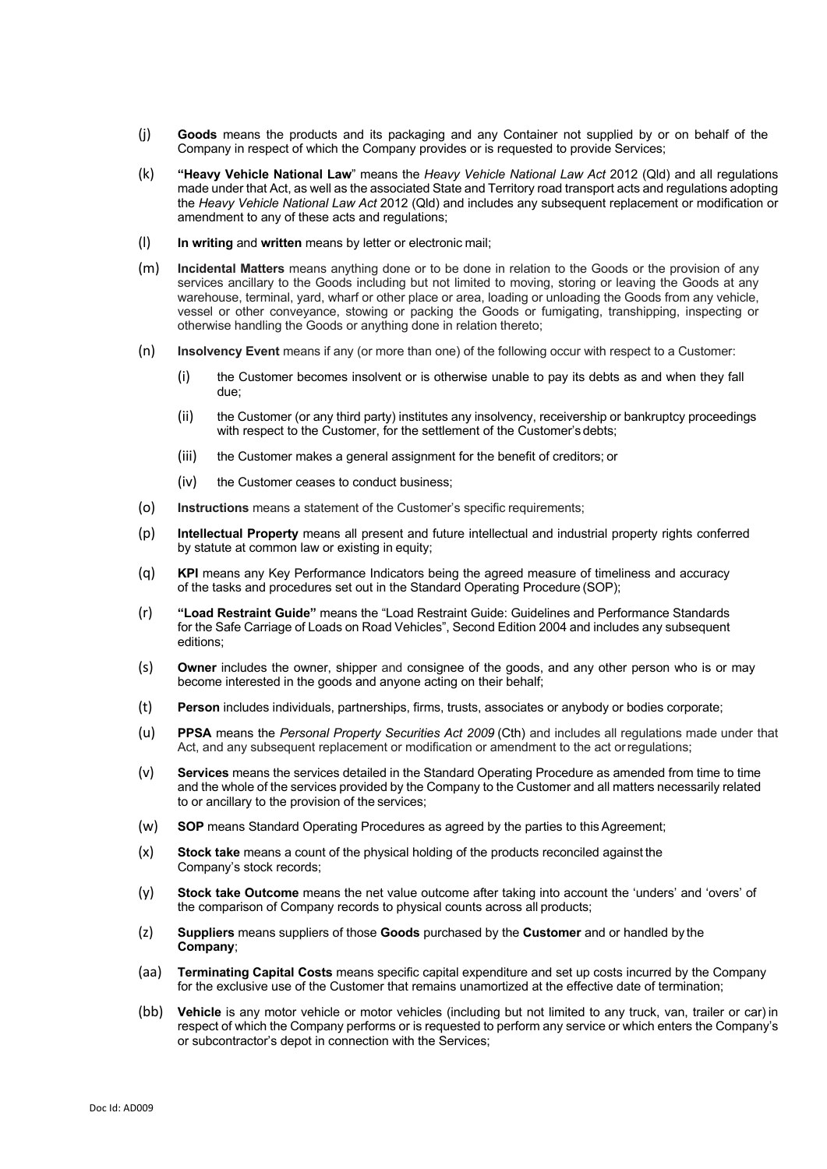- (j) **Goods** means the products and its packaging and any Container not supplied by or on behalf of the Company in respect of which the Company provides or is requested to provide Services;
- (k) **"Heavy Vehicle National Law**" means the *Heavy Vehicle National Law Act* 2012 (Qld) and all regulations made under that Act, as well as the associated State and Territory road transport acts and regulations adopting the *Heavy Vehicle National Law Act* 2012 (Qld) and includes any subsequent replacement or modification or amendment to any of these acts and regulations;
- (l) **In writing** and **written** means by letter or electronic mail;
- (m) **Incidental Matters** means anything done or to be done in relation to the Goods or the provision of any services ancillary to the Goods including but not limited to moving, storing or leaving the Goods at any warehouse, terminal, yard, wharf or other place or area, loading or unloading the Goods from any vehicle, vessel or other conveyance, stowing or packing the Goods or fumigating, transhipping, inspecting or otherwise handling the Goods or anything done in relation thereto;
- (n) **Insolvency Event** means if any (or more than one) of the following occur with respect to a Customer:
	- (i) the Customer becomes insolvent or is otherwise unable to pay its debts as and when they fall due;
	- (ii) the Customer (or any third party) institutes any insolvency, receivership or bankruptcy proceedings with respect to the Customer, for the settlement of the Customer's debts;
	- (iii) the Customer makes a general assignment for the benefit of creditors; or
	- (iv) the Customer ceases to conduct business;
- (o) **Instructions** means a statement of the Customer's specific requirements;
- (p) **Intellectual Property** means all present and future intellectual and industrial property rights conferred by statute at common law or existing in equity;
- (q) **KPI** means any Key Performance Indicators being the agreed measure of timeliness and accuracy of the tasks and procedures set out in the Standard Operating Procedure (SOP);
- (r) **"Load Restraint Guide"** means the "Load Restraint Guide: Guidelines and Performance Standards for the Safe Carriage of Loads on Road Vehicles", Second Edition 2004 and includes any subsequent editions;
- (s) **Owner** includes the owner, shipper and consignee of the goods, and any other person who is or may become interested in the goods and anyone acting on their behalf;
- (t) **Person** includes individuals, partnerships, firms, trusts, associates or anybody or bodies corporate;
- (u) **PPSA** means the *Personal Property Securities Act 2009* (Cth) and includes all regulations made under that Act, and any subsequent replacement or modification or amendment to the act orregulations;
- (v) **Services** means the services detailed in the Standard Operating Procedure as amended from time to time and the whole of the services provided by the Company to the Customer and all matters necessarily related to or ancillary to the provision of the services;
- (w) **SOP** means Standard Operating Procedures as agreed by the parties to this Agreement;
- (x) **Stock take** means a count of the physical holding of the products reconciled against the Company's stock records;
- (y) **Stock take Outcome** means the net value outcome after taking into account the 'unders' and 'overs' of the comparison of Company records to physical counts across all products;
- (z) **Suppliers** means suppliers of those **Goods** purchased by the **Customer** and or handled by the **Company**;
- (aa) **Terminating Capital Costs** means specific capital expenditure and set up costs incurred by the Company for the exclusive use of the Customer that remains unamortized at the effective date of termination;
- (bb) **Vehicle** is any motor vehicle or motor vehicles (including but not limited to any truck, van, trailer or car) in respect of which the Company performs or is requested to perform any service or which enters the Company's or subcontractor's depot in connection with the Services;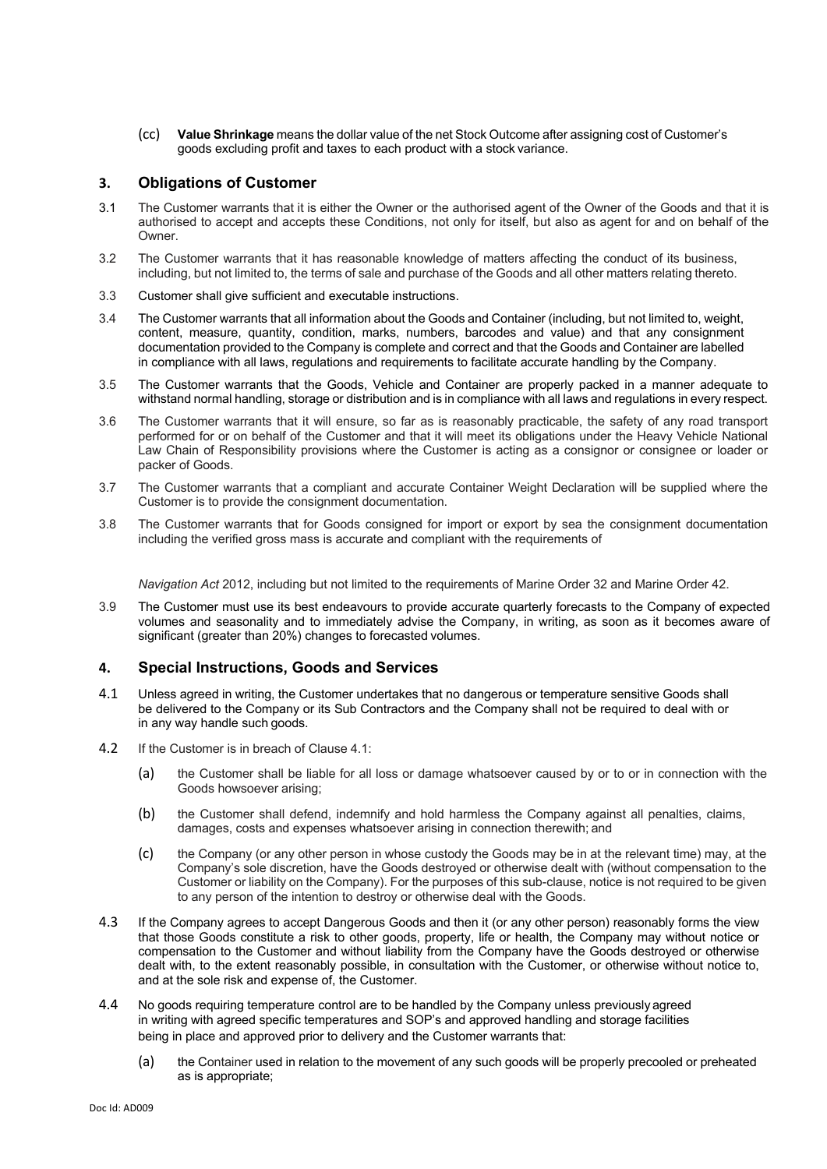(cc) **Value Shrinkage** means the dollar value of the net Stock Outcome after assigning cost of Customer's goods excluding profit and taxes to each product with a stock variance.

# **3. Obligations of Customer**

- 3.1 The Customer warrants that it is either the Owner or the authorised agent of the Owner of the Goods and that it is authorised to accept and accepts these Conditions, not only for itself, but also as agent for and on behalf of the Owner.
- 3.2 The Customer warrants that it has reasonable knowledge of matters affecting the conduct of its business, including, but not limited to, the terms of sale and purchase of the Goods and all other matters relating thereto.
- 3.3 Customer shall give sufficient and executable instructions.
- 3.4 The Customer warrants that all information about the Goods and Container (including, but not limited to, weight, content, measure, quantity, condition, marks, numbers, barcodes and value) and that any consignment documentation provided to the Company is complete and correct and that the Goods and Container are labelled in compliance with all laws, regulations and requirements to facilitate accurate handling by the Company.
- 3.5 The Customer warrants that the Goods, Vehicle and Container are properly packed in a manner adequate to withstand normal handling, storage or distribution and is in compliance with all laws and regulations in every respect.
- 3.6 The Customer warrants that it will ensure, so far as is reasonably practicable, the safety of any road transport performed for or on behalf of the Customer and that it will meet its obligations under the Heavy Vehicle National Law Chain of Responsibility provisions where the Customer is acting as a consignor or consignee or loader or packer of Goods.
- 3.7 The Customer warrants that a compliant and accurate Container Weight Declaration will be supplied where the Customer is to provide the consignment documentation.
- 3.8 The Customer warrants that for Goods consigned for import or export by sea the consignment documentation including the verified gross mass is accurate and compliant with the requirements of

*Navigation Act* 2012, including but not limited to the requirements of Marine Order 32 and Marine Order 42.

3.9 The Customer must use its best endeavours to provide accurate quarterly forecasts to the Company of expected volumes and seasonality and to immediately advise the Company, in writing, as soon as it becomes aware of significant (greater than 20%) changes to forecasted volumes.

## **4. Special Instructions, Goods and Services**

- 4.1 Unless agreed in writing, the Customer undertakes that no dangerous or temperature sensitive Goods shall be delivered to the Company or its Sub Contractors and the Company shall not be required to deal with or in any way handle such goods.
- 4.2 If the Customer is in breach of Clause 4.1:
	- (a) the Customer shall be liable for all loss or damage whatsoever caused by or to or in connection with the Goods howsoever arising;
	- (b) the Customer shall defend, indemnify and hold harmless the Company against all penalties, claims, damages, costs and expenses whatsoever arising in connection therewith; and
	- (c) the Company (or any other person in whose custody the Goods may be in at the relevant time) may, at the Company's sole discretion, have the Goods destroyed or otherwise dealt with (without compensation to the Customer or liability on the Company). For the purposes of this sub-clause, notice is not required to be given to any person of the intention to destroy or otherwise deal with the Goods.
- 4.3 If the Company agrees to accept Dangerous Goods and then it (or any other person) reasonably forms the view that those Goods constitute a risk to other goods, property, life or health, the Company may without notice or compensation to the Customer and without liability from the Company have the Goods destroyed or otherwise dealt with, to the extent reasonably possible, in consultation with the Customer, or otherwise without notice to, and at the sole risk and expense of, the Customer.
- 4.4 No goods requiring temperature control are to be handled by the Company unless previously agreed in writing with agreed specific temperatures and SOP's and approved handling and storage facilities being in place and approved prior to delivery and the Customer warrants that:
	- (a) the Container used in relation to the movement of any such goods will be properly precooled or preheated as is appropriate;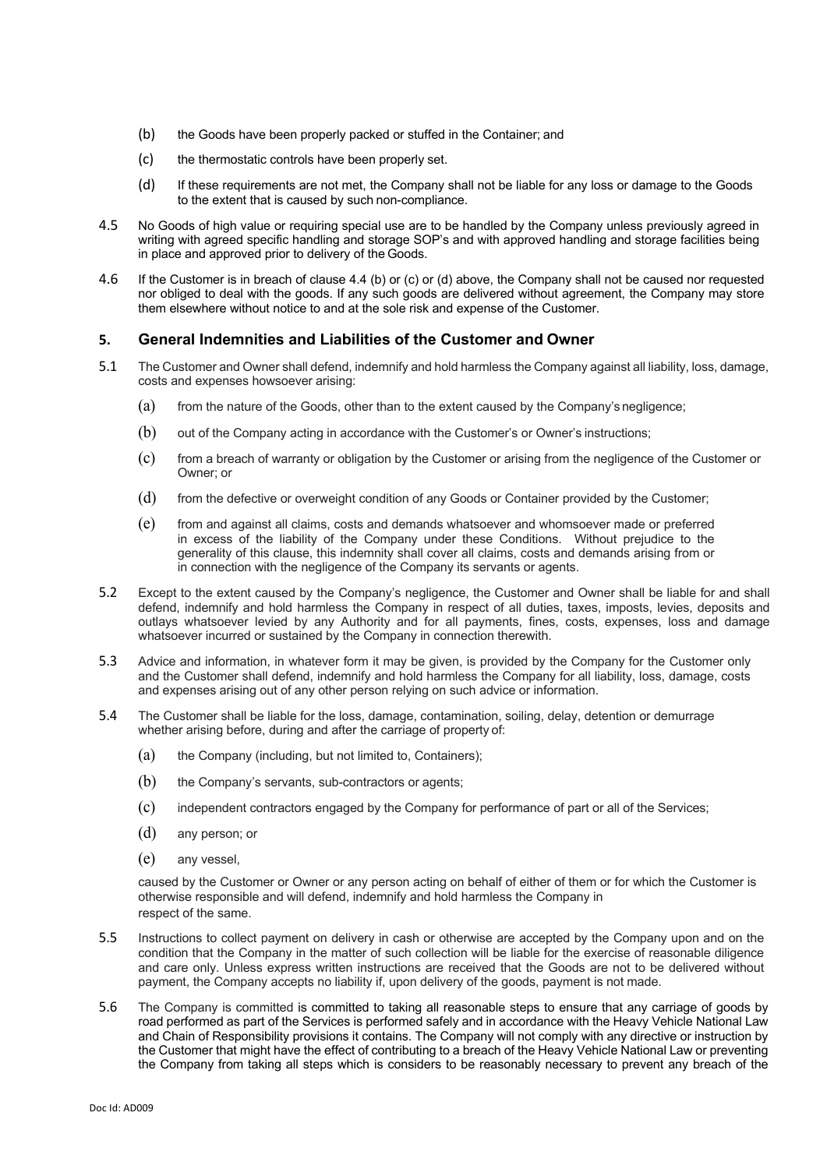- (b) the Goods have been properly packed or stuffed in the Container; and
- (c) the thermostatic controls have been properly set.
- (d) If these requirements are not met, the Company shall not be liable for any loss or damage to the Goods to the extent that is caused by such non-compliance.
- 4.5 No Goods of high value or requiring special use are to be handled by the Company unless previously agreed in writing with agreed specific handling and storage SOP's and with approved handling and storage facilities being in place and approved prior to delivery of the Goods.
- 4.6 If the Customer is in breach of clause 4.4 (b) or (c) or (d) above, the Company shall not be caused nor requested nor obliged to deal with the goods. If any such goods are delivered without agreement, the Company may store them elsewhere without notice to and at the sole risk and expense of the Customer.

# **5. General Indemnities and Liabilities of the Customer and Owner**

- 5.1 The Customer and Owner shall defend, indemnify and hold harmless the Company against all liability, loss, damage, costs and expenses howsoever arising:
	- (a) from the nature of the Goods, other than to the extent caused by the Company's negligence;
	- (b) out of the Company acting in accordance with the Customer's or Owner's instructions;
	- (c) from a breach of warranty or obligation by the Customer or arising from the negligence of the Customer or Owner; or
	- (d) from the defective or overweight condition of any Goods or Container provided by the Customer;
	- (e) from and against all claims, costs and demands whatsoever and whomsoever made or preferred in excess of the liability of the Company under these Conditions. Without prejudice to the generality of this clause, this indemnity shall cover all claims, costs and demands arising from or in connection with the negligence of the Company its servants or agents.
- 5.2 Except to the extent caused by the Company's negligence, the Customer and Owner shall be liable for and shall defend, indemnify and hold harmless the Company in respect of all duties, taxes, imposts, levies, deposits and outlays whatsoever levied by any Authority and for all payments, fines, costs, expenses, loss and damage whatsoever incurred or sustained by the Company in connection therewith.
- 5.3 Advice and information, in whatever form it may be given, is provided by the Company for the Customer only and the Customer shall defend, indemnify and hold harmless the Company for all liability, loss, damage, costs and expenses arising out of any other person relying on such advice or information.
- 5.4 The Customer shall be liable for the loss, damage, contamination, soiling, delay, detention or demurrage whether arising before, during and after the carriage of property of:
	- (a) the Company (including, but not limited to, Containers);
	- (b) the Company's servants, sub-contractors or agents;
	- (c) independent contractors engaged by the Company for performance of part or all of the Services;
	- (d) any person; or
	- (e) any vessel,

caused by the Customer or Owner or any person acting on behalf of either of them or for which the Customer is otherwise responsible and will defend, indemnify and hold harmless the Company in respect of the same.

- 5.5 Instructions to collect payment on delivery in cash or otherwise are accepted by the Company upon and on the condition that the Company in the matter of such collection will be liable for the exercise of reasonable diligence and care only. Unless express written instructions are received that the Goods are not to be delivered without payment, the Company accepts no liability if, upon delivery of the goods, payment is not made.
- 5.6 The Company is committed is committed to taking all reasonable steps to ensure that any carriage of goods by road performed as part of the Services is performed safely and in accordance with the Heavy Vehicle National Law and Chain of Responsibility provisions it contains. The Company will not comply with any directive or instruction by the Customer that might have the effect of contributing to a breach of the Heavy Vehicle National Law or preventing the Company from taking all steps which is considers to be reasonably necessary to prevent any breach of the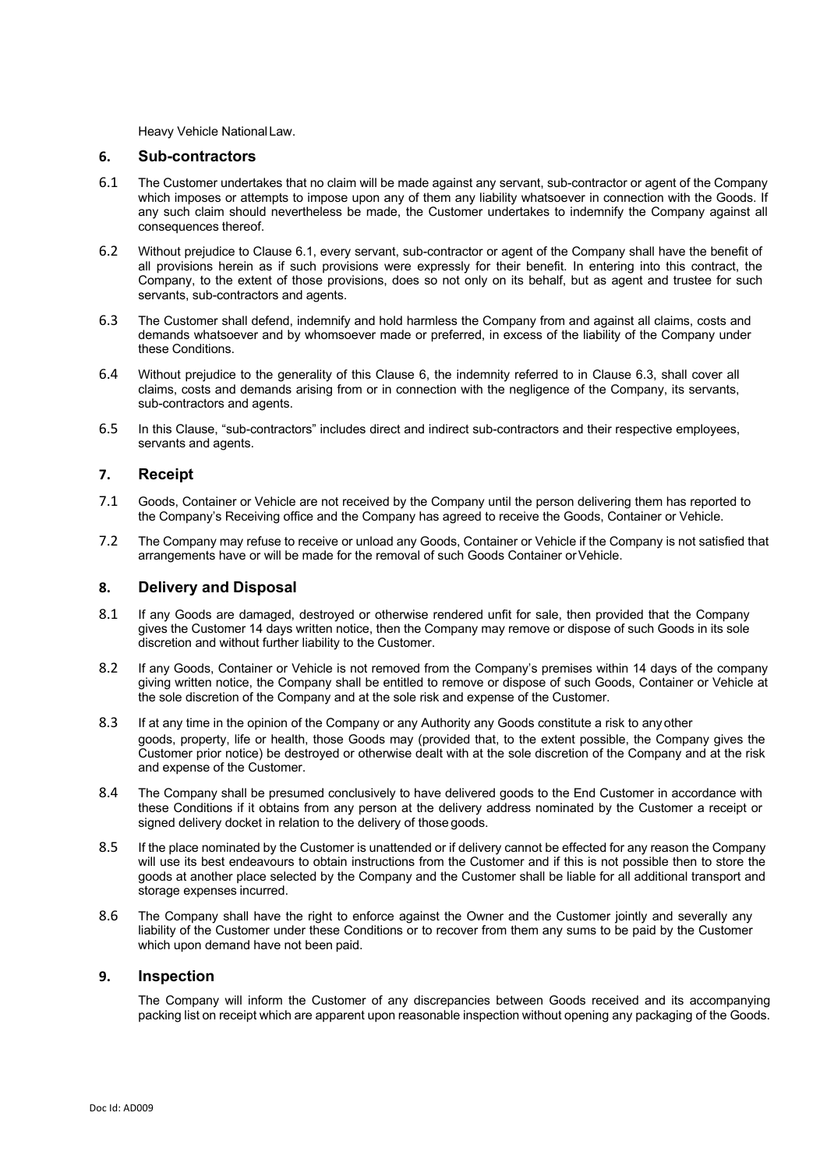Heavy Vehicle NationalLaw.

#### **6. Sub-contractors**

- 6.1 The Customer undertakes that no claim will be made against any servant, sub-contractor or agent of the Company which imposes or attempts to impose upon any of them any liability whatsoever in connection with the Goods. If any such claim should nevertheless be made, the Customer undertakes to indemnify the Company against all consequences thereof.
- 6.2 Without prejudice to Clause 6.1, every servant, sub-contractor or agent of the Company shall have the benefit of all provisions herein as if such provisions were expressly for their benefit. In entering into this contract, the Company, to the extent of those provisions, does so not only on its behalf, but as agent and trustee for such servants, sub-contractors and agents.
- 6.3 The Customer shall defend, indemnify and hold harmless the Company from and against all claims, costs and demands whatsoever and by whomsoever made or preferred, in excess of the liability of the Company under these Conditions.
- 6.4 Without prejudice to the generality of this Clause 6, the indemnity referred to in Clause 6.3, shall cover all claims, costs and demands arising from or in connection with the negligence of the Company, its servants, sub-contractors and agents.
- 6.5 In this Clause, "sub-contractors" includes direct and indirect sub-contractors and their respective employees, servants and agents.

# **7. Receipt**

- 7.1 Goods, Container or Vehicle are not received by the Company until the person delivering them has reported to the Company's Receiving office and the Company has agreed to receive the Goods, Container or Vehicle.
- 7.2 The Company may refuse to receive or unload any Goods, Container or Vehicle if the Company is not satisfied that arrangements have or will be made for the removal of such Goods Container orVehicle.

## **8. Delivery and Disposal**

- 8.1 If any Goods are damaged, destroyed or otherwise rendered unfit for sale, then provided that the Company gives the Customer 14 days written notice, then the Company may remove or dispose of such Goods in its sole discretion and without further liability to the Customer.
- 8.2 If any Goods, Container or Vehicle is not removed from the Company's premises within 14 days of the company giving written notice, the Company shall be entitled to remove or dispose of such Goods, Container or Vehicle at the sole discretion of the Company and at the sole risk and expense of the Customer.
- 8.3 If at any time in the opinion of the Company or any Authority any Goods constitute a risk to any other goods, property, life or health, those Goods may (provided that, to the extent possible, the Company gives the Customer prior notice) be destroyed or otherwise dealt with at the sole discretion of the Company and at the risk and expense of the Customer.
- 8.4 The Company shall be presumed conclusively to have delivered goods to the End Customer in accordance with these Conditions if it obtains from any person at the delivery address nominated by the Customer a receipt or signed delivery docket in relation to the delivery of those goods.
- 8.5 If the place nominated by the Customer is unattended or if delivery cannot be effected for any reason the Company will use its best endeavours to obtain instructions from the Customer and if this is not possible then to store the goods at another place selected by the Company and the Customer shall be liable for all additional transport and storage expenses incurred.
- 8.6 The Company shall have the right to enforce against the Owner and the Customer jointly and severally any liability of the Customer under these Conditions or to recover from them any sums to be paid by the Customer which upon demand have not been paid.

## **9. Inspection**

The Company will inform the Customer of any discrepancies between Goods received and its accompanying packing list on receipt which are apparent upon reasonable inspection without opening any packaging of the Goods.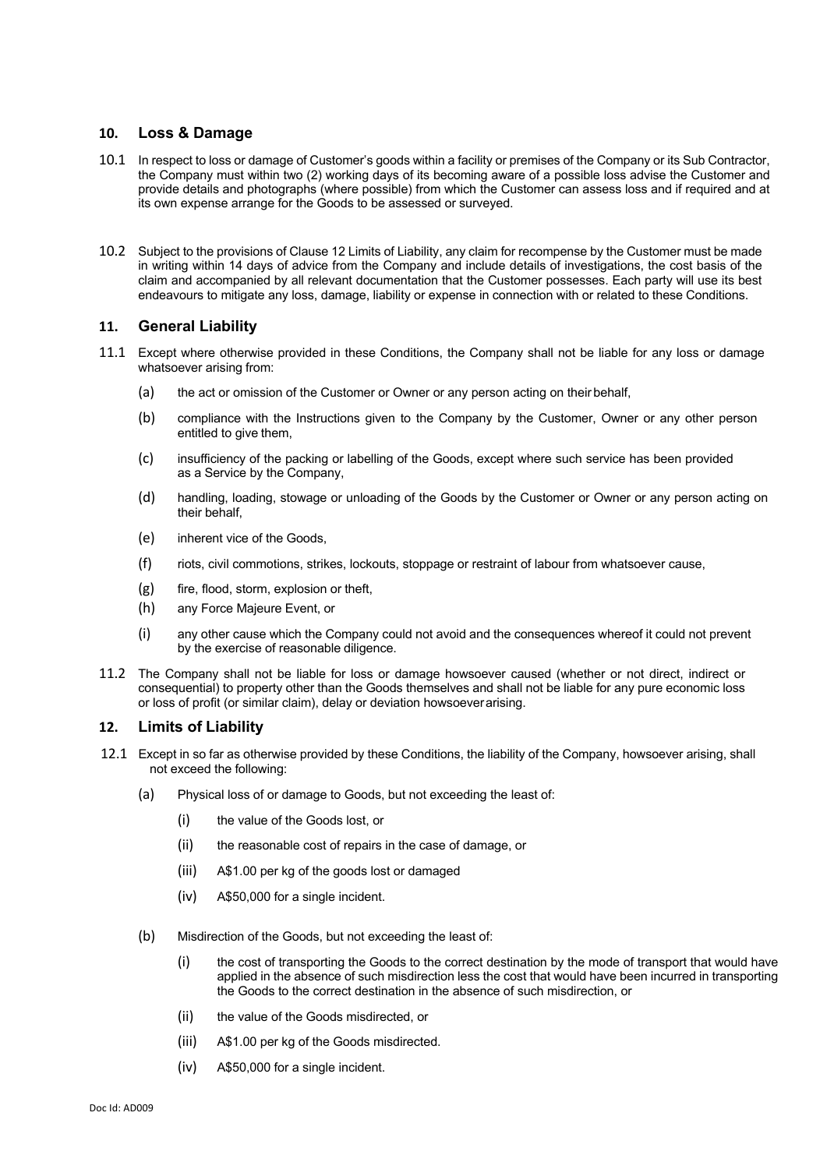# **10. Loss & Damage**

- 10.1 In respect to loss or damage of Customer's goods within a facility or premises of the Company or its Sub Contractor, the Company must within two (2) working days of its becoming aware of a possible loss advise the Customer and provide details and photographs (where possible) from which the Customer can assess loss and if required and at its own expense arrange for the Goods to be assessed or surveyed.
- 10.2 Subject to the provisions of Clause 12 Limits of Liability, any claim for recompense by the Customer must be made in writing within 14 days of advice from the Company and include details of investigations, the cost basis of the claim and accompanied by all relevant documentation that the Customer possesses. Each party will use its best endeavours to mitigate any loss, damage, liability or expense in connection with or related to these Conditions.

## **11. General Liability**

- 11.1 Except where otherwise provided in these Conditions, the Company shall not be liable for any loss or damage whatsoever arising from:
	- (a) the act or omission of the Customer or Owner or any person acting on their behalf,
	- (b) compliance with the Instructions given to the Company by the Customer, Owner or any other person entitled to give them,
	- (c) insufficiency of the packing or labelling of the Goods, except where such service has been provided as a Service by the Company,
	- (d) handling, loading, stowage or unloading of the Goods by the Customer or Owner or any person acting on their behalf,
	- (e) inherent vice of the Goods,
	- (f) riots, civil commotions, strikes, lockouts, stoppage or restraint of labour from whatsoever cause,
	- (g) fire, flood, storm, explosion or theft,
	- (h) any Force Majeure Event, or
	- (i) any other cause which the Company could not avoid and the consequences whereof it could not prevent by the exercise of reasonable diligence.
- 11.2 The Company shall not be liable for loss or damage howsoever caused (whether or not direct, indirect or consequential) to property other than the Goods themselves and shall not be liable for any pure economic loss or loss of profit (or similar claim), delay or deviation howsoeverarising.

#### **12. Limits of Liability**

- 12.1 Except in so far as otherwise provided by these Conditions, the liability of the Company, howsoever arising, shall not exceed the following:
	- (a) Physical loss of or damage to Goods, but not exceeding the least of:
		- (i) the value of the Goods lost, or
		- (ii) the reasonable cost of repairs in the case of damage, or
		- (iii) A\$1.00 per kg of the goods lost or damaged
		- (iv) A\$50,000 for a single incident.
	- (b) Misdirection of the Goods, but not exceeding the least of:
		- (i) the cost of transporting the Goods to the correct destination by the mode of transport that would have applied in the absence of such misdirection less the cost that would have been incurred in transporting the Goods to the correct destination in the absence of such misdirection, or
		- (ii) the value of the Goods misdirected, or
		- (iii) A\$1.00 per kg of the Goods misdirected.
		- (iv) A\$50,000 for a single incident.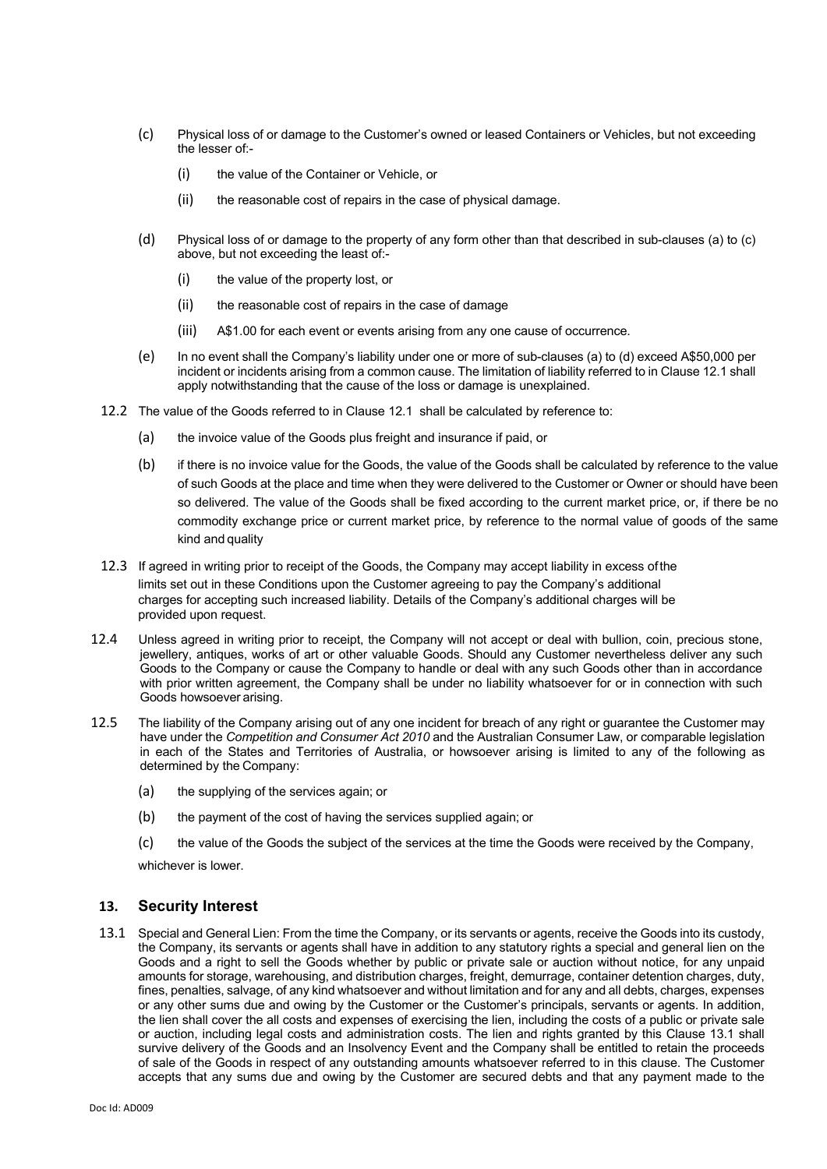- (c) Physical loss of or damage to the Customer's owned or leased Containers or Vehicles, but not exceeding the lesser of:-
	- (i) the value of the Container or Vehicle, or
	- (ii) the reasonable cost of repairs in the case of physical damage.
- (d) Physical loss of or damage to the property of any form other than that described in sub-clauses (a) to (c) above, but not exceeding the least of:-
	- (i) the value of the property lost, or
	- (ii) the reasonable cost of repairs in the case of damage
	- (iii) A\$1.00 for each event or events arising from any one cause of occurrence.
- (e) In no event shall the Company's liability under one or more of sub-clauses (a) to (d) exceed A\$50,000 per incident or incidents arising from a common cause. The limitation of liability referred to in Clause 12.1 shall apply notwithstanding that the cause of the loss or damage is unexplained.
- 12.2 The value of the Goods referred to in Clause 12.1 shall be calculated by reference to:
	- (a) the invoice value of the Goods plus freight and insurance if paid, or
	- (b) if there is no invoice value for the Goods, the value of the Goods shall be calculated by reference to the value of such Goods at the place and time when they were delivered to the Customer or Owner or should have been so delivered. The value of the Goods shall be fixed according to the current market price, or, if there be no commodity exchange price or current market price, by reference to the normal value of goods of the same kind and quality
- 12.3 If agreed in writing prior to receipt of the Goods, the Company may accept liability in excess ofthe limits set out in these Conditions upon the Customer agreeing to pay the Company's additional charges for accepting such increased liability. Details of the Company's additional charges will be provided upon request.
- 12.4 Unless agreed in writing prior to receipt, the Company will not accept or deal with bullion, coin, precious stone, jewellery, antiques, works of art or other valuable Goods. Should any Customer nevertheless deliver any such Goods to the Company or cause the Company to handle or deal with any such Goods other than in accordance with prior written agreement, the Company shall be under no liability whatsoever for or in connection with such Goods howsoever arising.
- 12.5 The liability of the Company arising out of any one incident for breach of any right or guarantee the Customer may have under the *Competition and Consumer Act 2010* and the Australian Consumer Law, or comparable legislation in each of the States and Territories of Australia, or howsoever arising is limited to any of the following as determined by the Company:
	- (a) the supplying of the services again; or
	- (b) the payment of the cost of having the services supplied again; or
	- (c) the value of the Goods the subject of the services at the time the Goods were received by the Company,

whichever is lower.

# **13. Security Interest**

13.1 Special and General Lien: From the time the Company, or its servants or agents, receive the Goods into its custody, the Company, its servants or agents shall have in addition to any statutory rights a special and general lien on the Goods and a right to sell the Goods whether by public or private sale or auction without notice, for any unpaid amounts for storage, warehousing, and distribution charges, freight, demurrage, container detention charges, duty, fines, penalties, salvage, of any kind whatsoever and without limitation and for any and all debts, charges, expenses or any other sums due and owing by the Customer or the Customer's principals, servants or agents. In addition, the lien shall cover the all costs and expenses of exercising the lien, including the costs of a public or private sale or auction, including legal costs and administration costs. The lien and rights granted by this Clause 13.1 shall survive delivery of the Goods and an Insolvency Event and the Company shall be entitled to retain the proceeds of sale of the Goods in respect of any outstanding amounts whatsoever referred to in this clause. The Customer accepts that any sums due and owing by the Customer are secured debts and that any payment made to the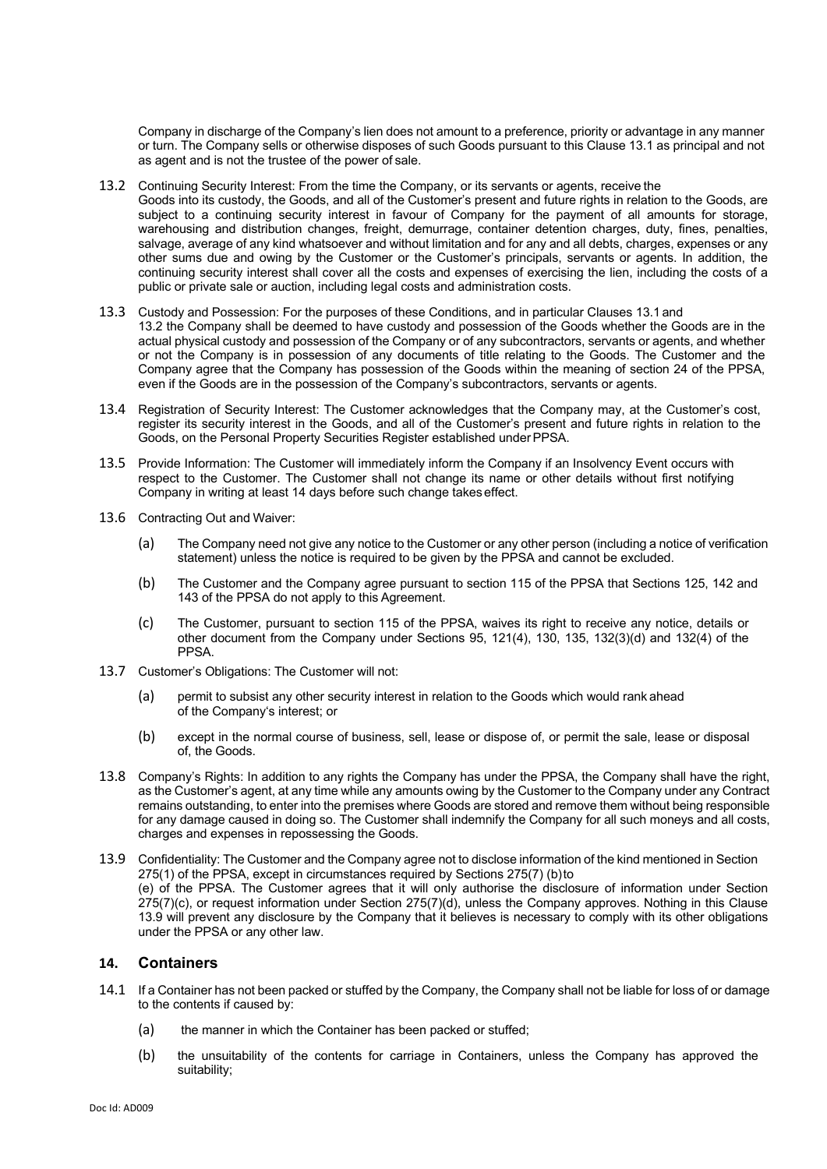Company in discharge of the Company's lien does not amount to a preference, priority or advantage in any manner or turn. The Company sells or otherwise disposes of such Goods pursuant to this Clause 13.1 as principal and not as agent and is not the trustee of the power of sale.

- 13.2 Continuing Security Interest: From the time the Company, or its servants or agents, receive the Goods into its custody, the Goods, and all of the Customer's present and future rights in relation to the Goods, are subject to a continuing security interest in favour of Company for the payment of all amounts for storage, warehousing and distribution changes, freight, demurrage, container detention charges, duty, fines, penalties, salvage, average of any kind whatsoever and without limitation and for any and all debts, charges, expenses or any other sums due and owing by the Customer or the Customer's principals, servants or agents. In addition, the continuing security interest shall cover all the costs and expenses of exercising the lien, including the costs of a public or private sale or auction, including legal costs and administration costs.
- 13.3 Custody and Possession: For the purposes of these Conditions, and in particular Clauses 13.1 and 13.2 the Company shall be deemed to have custody and possession of the Goods whether the Goods are in the actual physical custody and possession of the Company or of any subcontractors, servants or agents, and whether or not the Company is in possession of any documents of title relating to the Goods. The Customer and the Company agree that the Company has possession of the Goods within the meaning of section 24 of the PPSA, even if the Goods are in the possession of the Company's subcontractors, servants or agents.
- 13.4 Registration of Security Interest: The Customer acknowledges that the Company may, at the Customer's cost, register its security interest in the Goods, and all of the Customer's present and future rights in relation to the Goods, on the Personal Property Securities Register established under PPSA.
- 13.5 Provide Information: The Customer will immediately inform the Company if an Insolvency Event occurs with respect to the Customer. The Customer shall not change its name or other details without first notifying Company in writing at least 14 days before such change takeseffect.
- 13.6 Contracting Out and Waiver:
	- (a) The Company need not give any notice to the Customer or any other person (including a notice of verification statement) unless the notice is required to be given by the PPSA and cannot be excluded.
	- (b) The Customer and the Company agree pursuant to section 115 of the PPSA that Sections 125, 142 and 143 of the PPSA do not apply to this Agreement.
	- (c) The Customer, pursuant to section 115 of the PPSA, waives its right to receive any notice, details or other document from the Company under Sections 95, 121(4), 130, 135, 132(3)(d) and 132(4) of the PPSA.
- 13.7 Customer's Obligations: The Customer will not:
	- (a) permit to subsist any other security interest in relation to the Goods which would rank ahead of the Company's interest; or
	- (b) except in the normal course of business, sell, lease or dispose of, or permit the sale, lease or disposal of, the Goods.
- 13.8 Company's Rights: In addition to any rights the Company has under the PPSA, the Company shall have the right, as the Customer's agent, at any time while any amounts owing by the Customer to the Company under any Contract remains outstanding, to enter into the premises where Goods are stored and remove them without being responsible for any damage caused in doing so. The Customer shall indemnify the Company for all such moneys and all costs, charges and expenses in repossessing the Goods.
- 13.9 Confidentiality: The Customer and the Company agree not to disclose information of the kind mentioned in Section 275(1) of the PPSA, except in circumstances required by Sections 275(7) (b)to (e) of the PPSA. The Customer agrees that it will only authorise the disclosure of information under Section 275(7)(c), or request information under Section 275(7)(d), unless the Company approves. Nothing in this Clause 13.9 will prevent any disclosure by the Company that it believes is necessary to comply with its other obligations under the PPSA or any other law.

# **14. Containers**

- 14.1 If a Container has not been packed or stuffed by the Company, the Company shall not be liable for loss of or damage to the contents if caused by:
	- (a) the manner in which the Container has been packed or stuffed;
	- (b) the unsuitability of the contents for carriage in Containers, unless the Company has approved the suitability;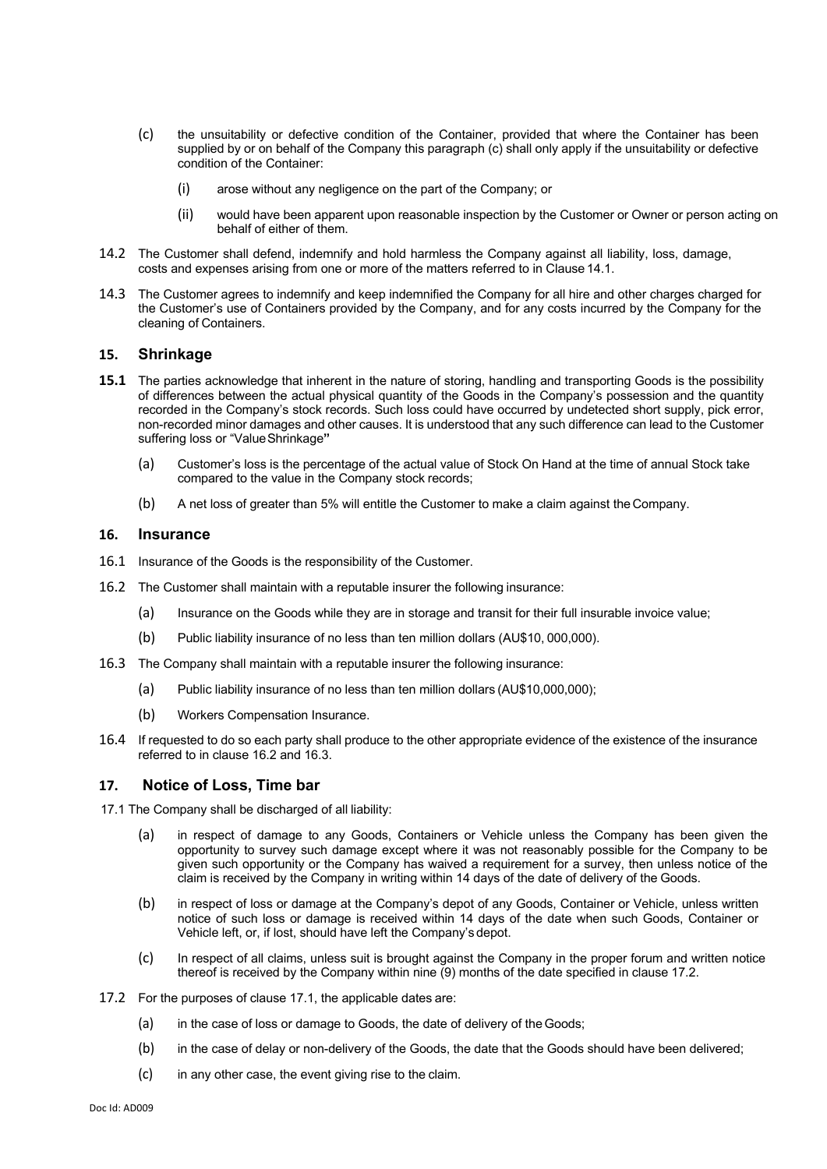- (c) the unsuitability or defective condition of the Container, provided that where the Container has been supplied by or on behalf of the Company this paragraph (c) shall only apply if the unsuitability or defective condition of the Container:
	- (i) arose without any negligence on the part of the Company; or
	- (ii) would have been apparent upon reasonable inspection by the Customer or Owner or person acting on behalf of either of them.
- 14.2 The Customer shall defend, indemnify and hold harmless the Company against all liability, loss, damage, costs and expenses arising from one or more of the matters referred to in Clause 14.1.
- 14.3 The Customer agrees to indemnify and keep indemnified the Company for all hire and other charges charged for the Customer's use of Containers provided by the Company, and for any costs incurred by the Company for the cleaning of Containers.

#### **15. Shrinkage**

- **15.1** The parties acknowledge that inherent in the nature of storing, handling and transporting Goods is the possibility of differences between the actual physical quantity of the Goods in the Company's possession and the quantity recorded in the Company's stock records. Such loss could have occurred by undetected short supply, pick error, non-recorded minor damages and other causes. It is understood that any such difference can lead to the Customer suffering loss or "ValueShrinkage**"**
	- (a) Customer's loss is the percentage of the actual value of Stock On Hand at the time of annual Stock take compared to the value in the Company stock records;
	- (b) A net loss of greater than 5% will entitle the Customer to make a claim against the Company.

#### **16. Insurance**

- 16.1 Insurance of the Goods is the responsibility of the Customer.
- 16.2 The Customer shall maintain with a reputable insurer the following insurance:
	- (a) Insurance on the Goods while they are in storage and transit for their full insurable invoice value;
	- (b) Public liability insurance of no less than ten million dollars (AU\$10, 000,000).
- 16.3 The Company shall maintain with a reputable insurer the following insurance:
	- (a) Public liability insurance of no less than ten million dollars (AU\$10,000,000);
	- (b) Workers Compensation Insurance.
- 16.4 If requested to do so each party shall produce to the other appropriate evidence of the existence of the insurance referred to in clause 16.2 and 16.3.

#### **17. Notice of Loss, Time bar**

17.1 The Company shall be discharged of all liability:

- (a) in respect of damage to any Goods, Containers or Vehicle unless the Company has been given the opportunity to survey such damage except where it was not reasonably possible for the Company to be given such opportunity or the Company has waived a requirement for a survey, then unless notice of the claim is received by the Company in writing within 14 days of the date of delivery of the Goods.
- (b) in respect of loss or damage at the Company's depot of any Goods, Container or Vehicle, unless written notice of such loss or damage is received within 14 days of the date when such Goods, Container or Vehicle left, or, if lost, should have left the Company's depot.
- (c) In respect of all claims, unless suit is brought against the Company in the proper forum and written notice thereof is received by the Company within nine (9) months of the date specified in clause 17.2.
- 17.2 For the purposes of clause 17.1, the applicable dates are:
	- (a) in the case of loss or damage to Goods, the date of delivery of the Goods;
	- (b) in the case of delay or non-delivery of the Goods, the date that the Goods should have been delivered;
	- $(c)$  in any other case, the event giving rise to the claim.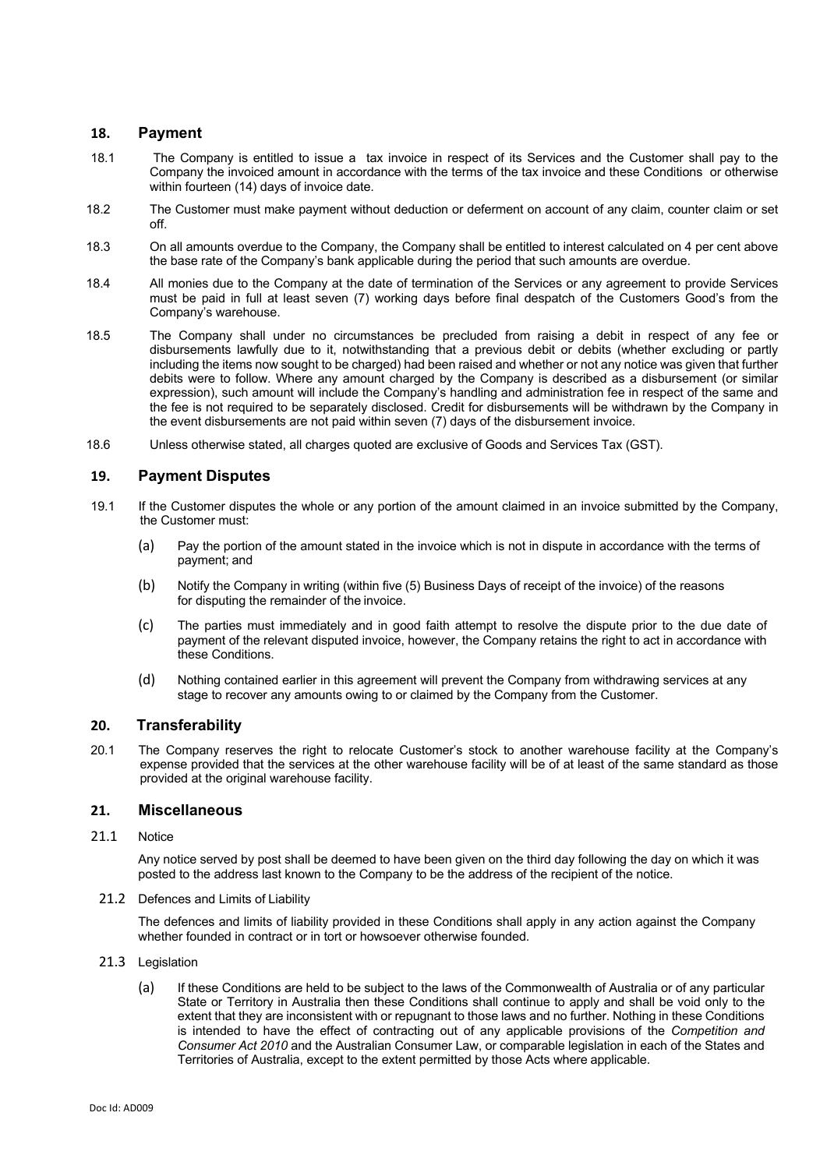## **18. Payment**

- 18.1 The Company is entitled to issue a tax invoice in respect of its Services and the Customer shall pay to the Company the invoiced amount in accordance with the terms of the tax invoice and these Conditions or otherwise within fourteen (14) days of invoice date.
- 18.2 The Customer must make payment without deduction or deferment on account of any claim, counter claim or set off.
- 18.3 On all amounts overdue to the Company, the Company shall be entitled to interest calculated on 4 per cent above the base rate of the Company's bank applicable during the period that such amounts are overdue.
- 18.4 All monies due to the Company at the date of termination of the Services or any agreement to provide Services must be paid in full at least seven (7) working days before final despatch of the Customers Good's from the Company's warehouse.
- 18.5 The Company shall under no circumstances be precluded from raising a debit in respect of any fee or disbursements lawfully due to it, notwithstanding that a previous debit or debits (whether excluding or partly including the items now sought to be charged) had been raised and whether or not any notice was given that further debits were to follow. Where any amount charged by the Company is described as a disbursement (or similar expression), such amount will include the Company's handling and administration fee in respect of the same and the fee is not required to be separately disclosed. Credit for disbursements will be withdrawn by the Company in the event disbursements are not paid within seven (7) days of the disbursement invoice.
- 18.6 Unless otherwise stated, all charges quoted are exclusive of Goods and Services Tax (GST).

# **19. Payment Disputes**

- 19.1 If the Customer disputes the whole or any portion of the amount claimed in an invoice submitted by the Company, the Customer must:
	- (a) Pay the portion of the amount stated in the invoice which is not in dispute in accordance with the terms of payment; and
	- (b) Notify the Company in writing (within five (5) Business Days of receipt of the invoice) of the reasons for disputing the remainder of the invoice.
	- (c) The parties must immediately and in good faith attempt to resolve the dispute prior to the due date of payment of the relevant disputed invoice, however, the Company retains the right to act in accordance with these Conditions.
	- (d) Nothing contained earlier in this agreement will prevent the Company from withdrawing services at any stage to recover any amounts owing to or claimed by the Company from the Customer.

## **20. Transferability**

20.1 The Company reserves the right to relocate Customer's stock to another warehouse facility at the Company's expense provided that the services at the other warehouse facility will be of at least of the same standard as those provided at the original warehouse facility.

## **21. Miscellaneous**

21.1 Notice

Any notice served by post shall be deemed to have been given on the third day following the day on which it was posted to the address last known to the Company to be the address of the recipient of the notice.

21.2 Defences and Limits of Liability

The defences and limits of liability provided in these Conditions shall apply in any action against the Company whether founded in contract or in tort or howsoever otherwise founded.

### 21.3 Legislation

(a) If these Conditions are held to be subject to the laws of the Commonwealth of Australia or of any particular State or Territory in Australia then these Conditions shall continue to apply and shall be void only to the extent that they are inconsistent with or repugnant to those laws and no further. Nothing in these Conditions is intended to have the effect of contracting out of any applicable provisions of the *Competition and Consumer Act 2010* and the Australian Consumer Law, or comparable legislation in each of the States and Territories of Australia, except to the extent permitted by those Acts where applicable.